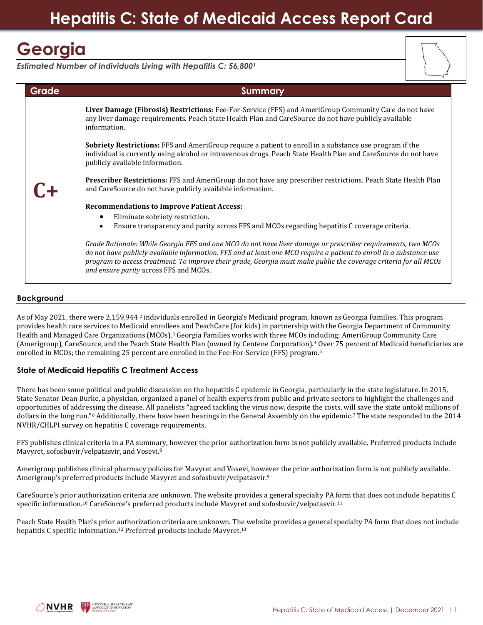# **Georgia**

*Estimated Number of Individuals Living with Hepatitis C: 56,800<sup>1</sup>* 



# **Background**

As of May 2021, there were 2,159,944 <sup>2</sup> individuals enrolled in Georgia's Medicaid program, known as Georgia Families. This program provides health care services to Medicaid enrollees and PeachCare (for kids) in partnership with the Georgia Department of Community Health and Managed Care Organizations (MCOs). <sup>3</sup> Georgia Families works with three MCOs including: AmeriGroup Community Care (Amerigroup), CareSource, and the Peach State Health Plan (owned by Centene Corporation).<sup>4</sup> Over 75 percent of Medicaid beneficiaries are enrolled in MCOs; the remaining 25 percent are enrolled in the Fee-For-Service (FFS) program.<sup>5</sup>

## **State of Medicaid Hepatitis C Treatment Access**

There has been some political and public discussion on the hepatitis C epidemic in Georgia, particularly in the state legislature. In 2015, State Senator Dean Burke, a physician, organized a panel of health experts from public and private sectors to highlight the challenges and opportunities of addressing the disease. All panelists "agreed tackling the virus now, despite the costs, will save the state untold millions of dollars in the long run."<sup>6</sup> Additionally, there have been hearings in the General Assembly on the epidemic.<sup>7</sup> The state responded to the 2014 NVHR/CHLPI survey on hepatitis C coverage requirements.

FFS publishes clinical criteria in a PA summary, however the prior authorization form is not publicly available. Preferred products include Mavyret, sofosbuvir/velpatasvir, and Vosevi.<sup>8</sup>

Amerigroup publishes clinical pharmacy policies for Mavyret and Vosevi, however the prior authorization form is not publicly available. Amerigroup's preferred products include Mavyret and sofosbuvir/velpatasvir.<sup>9</sup>

CareSource's prior authorization criteria are unknown. The website provides a general specialty PA form that does not include hepatitis C specific information.<sup>10</sup> CareSource's preferred products include Mavyret and sofosbuvir/velpatasvir.<sup>11</sup>

Peach State Health Plan's prior authorization criteria are unknown. The website provides a general specialty PA form that does not include hepatitis C specific information.<sup>12</sup> Preferred products include Mavyret.<sup>13</sup>